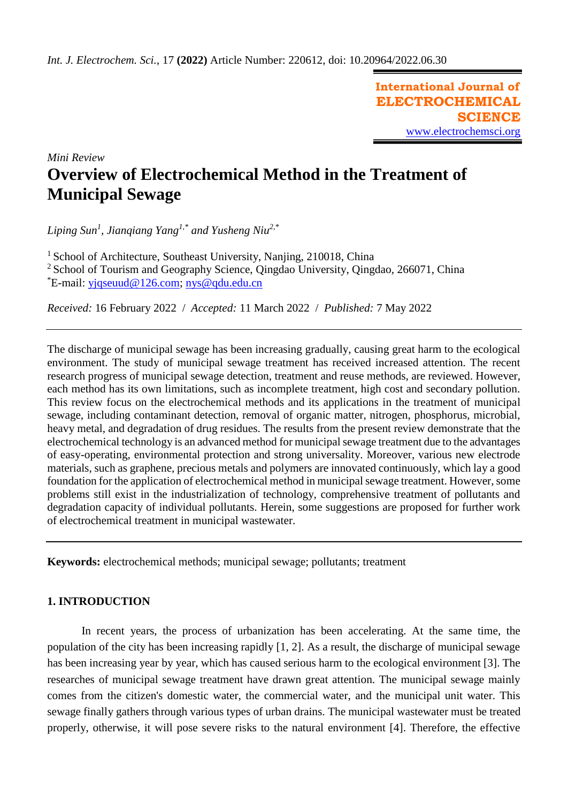**International Journal of ELECTROCHEMICAL SCIENCE** [www.electrochemsci.org](http://www.electrochemsci.org/)

*Mini Review* **Overview of Electrochemical Method in the Treatment of Municipal Sewage**

*Liping Sun<sup>1</sup> , Jianqiang Yang1,\* and Yusheng Niu2,\**

<sup>1</sup> School of Architecture, Southeast University, Nanjing, 210018, China

<sup>2</sup> School of Tourism and Geography Science, Qingdao University, Qingdao, 266071, China

\*E-mail: [yjqseuud@126.com;](mailto:yjqseuud@126.com) [nys@qdu.edu.cn](mailto:nys@qdu.edu.cn)

*Received:* 16 February 2022/ *Accepted:* 11 March 2022 / *Published:* 7 May 2022

The discharge of municipal sewage has been increasing gradually, causing great harm to the ecological environment. The study of municipal sewage treatment has received increased attention. The recent research progress of municipal sewage detection, treatment and reuse methods, are reviewed. However, each method has its own limitations, such as incomplete treatment, high cost and secondary pollution. This review focus on the electrochemical methods and its applications in the treatment of municipal sewage, including contaminant detection, removal of organic matter, nitrogen, phosphorus, microbial, heavy metal, and degradation of drug residues. The results from the present review demonstrate that the electrochemical technology is an advanced method for municipal sewage treatment due to the advantages of easy-operating, environmental protection and strong universality. Moreover, various new electrode materials, such as graphene, precious metals and polymers are innovated continuously, which lay a good foundation for the application of electrochemical method in municipal sewage treatment. However, some problems still exist in the industrialization of technology, comprehensive treatment of pollutants and degradation capacity of individual pollutants. Herein, some suggestions are proposed for further work of electrochemical treatment in municipal wastewater.

**Keywords:** electrochemical methods; municipal sewage; pollutants; treatment

## **1. INTRODUCTION**

In recent years, the process of urbanization has been accelerating. At the same time, the population of the city has been increasing rapidly [1, 2]. As a result, the discharge of municipal sewage has been increasing year by year, which has caused serious harm to the ecological environment [3]. The researches of municipal sewage treatment have drawn great attention. The municipal sewage mainly comes from the citizen's domestic water, the commercial water, and the municipal unit water. This sewage finally gathers through various types of urban drains. The municipal wastewater must be treated properly, otherwise, it will pose severe risks to the natural environment [4]. Therefore, the effective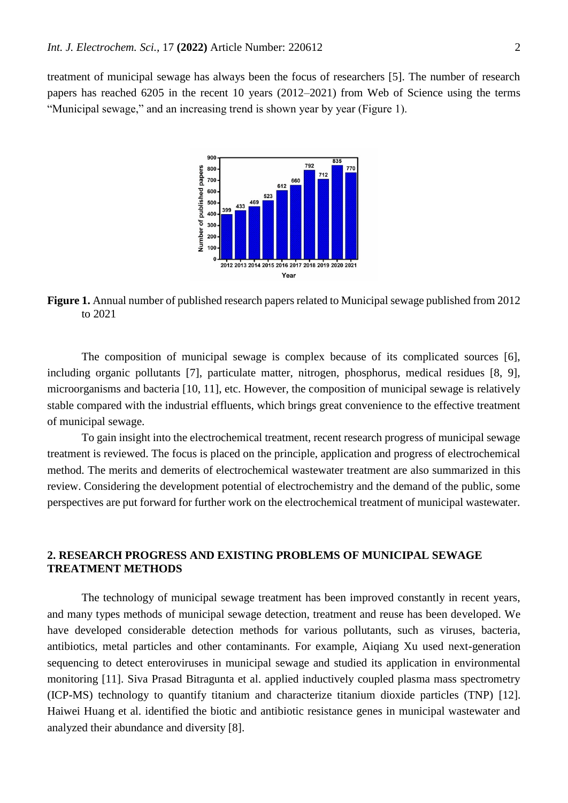treatment of municipal sewage has always been the focus of researchers [5]. The number of research papers has reached 6205 in the recent 10 years (2012–2021) from Web of Science using the terms "Municipal sewage," and an increasing trend is shown year by year (Figure 1).



**Figure 1.** Annual number of published research papers related to Municipal sewage published from 2012 to 2021

The composition of municipal sewage is complex because of its complicated sources [6], including organic pollutants [7], particulate matter, nitrogen, phosphorus, medical residues [8, 9], microorganisms and bacteria [10, 11], etc. However, the composition of municipal sewage is relatively stable compared with the industrial effluents, which brings great convenience to the effective treatment of municipal sewage.

To gain insight into the electrochemical treatment, recent research progress of municipal sewage treatment is reviewed. The focus is placed on the principle, application and progress of electrochemical method. The merits and demerits of electrochemical wastewater treatment are also summarized in this review. Considering the development potential of electrochemistry and the demand of the public, some perspectives are put forward for further work on the electrochemical treatment of municipal wastewater.

### **2. RESEARCH PROGRESS AND EXISTING PROBLEMS OF MUNICIPAL SEWAGE TREATMENT METHODS**

The technology of municipal sewage treatment has been improved constantly in recent years, and many types methods of municipal sewage detection, treatment and reuse has been developed. We have developed considerable detection methods for various pollutants, such as viruses, bacteria, antibiotics, metal particles and other contaminants. For example, Aiqiang Xu used next-generation sequencing to detect enteroviruses in municipal sewage and studied its application in environmental monitoring [11]. Siva Prasad Bitragunta et al. applied inductively coupled plasma mass spectrometry (ICP-MS) technology to quantify titanium and characterize titanium dioxide particles (TNP) [12]. Haiwei Huang et al. identified the biotic and antibiotic resistance genes in municipal wastewater and analyzed their abundance and diversity [8].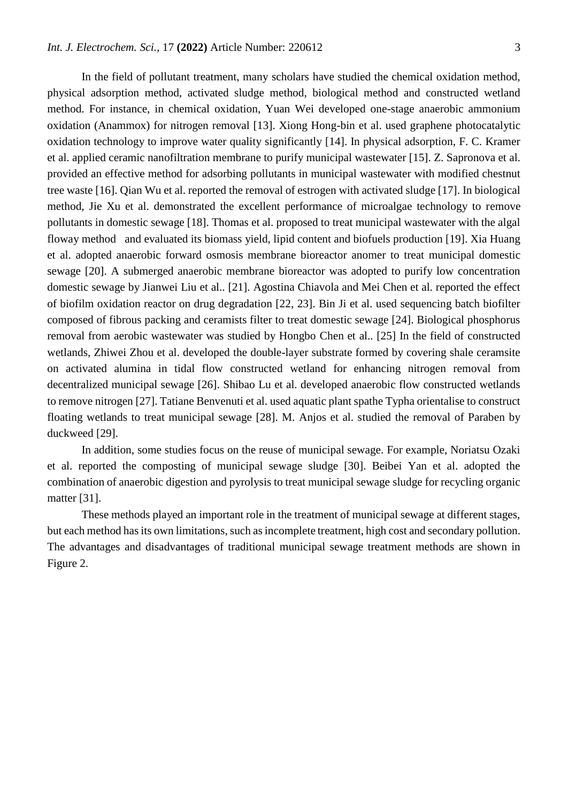In the field of pollutant treatment, many scholars have studied the chemical oxidation method, physical adsorption method, activated sludge method, biological method and constructed wetland method. For instance, in chemical oxidation, Yuan Wei developed one-stage anaerobic ammonium oxidation (Anammox) for nitrogen removal [13]. Xiong Hong-bin et al. used graphene photocatalytic oxidation technology to improve water quality significantly [14]. In physical adsorption, F. C. Kramer et al. applied ceramic nanofiltration membrane to purify municipal wastewater [15]. Z. Sapronova et al. provided an effective method for adsorbing pollutants in municipal wastewater with modified chestnut tree waste [16]. Qian Wu et al. reported the removal of estrogen with activated sludge [17]. In biological method, Jie Xu et al. demonstrated the excellent performance of microalgae technology to remove pollutants in domestic sewage [18]. Thomas et al. proposed to treat municipal wastewater with the algal floway method and evaluated its biomass yield, lipid content and biofuels production [19]. Xia Huang et al. adopted anaerobic forward osmosis membrane bioreactor anomer to treat municipal domestic sewage [20]. A submerged anaerobic membrane bioreactor was adopted to purify low concentration domestic sewage by Jianwei Liu et al.. [21]. Agostina Chiavola and Mei Chen et al. reported the effect of biofilm oxidation reactor on drug degradation [22, 23]. Bin Ji et al. used sequencing batch biofilter composed of fibrous packing and ceramists filter to treat domestic sewage [24]. Biological phosphorus removal from aerobic wastewater was studied by Hongbo Chen et al.. [25] In the field of constructed wetlands, Zhiwei Zhou et al. developed the double-layer substrate formed by covering shale ceramsite on activated alumina in tidal flow constructed wetland for enhancing nitrogen removal from decentralized municipal sewage [26]. Shibao Lu et al. developed anaerobic flow constructed wetlands to remove nitrogen [27]. Tatiane Benvenuti et al. used aquatic plant spathe Typha orientalise to construct floating wetlands to treat municipal sewage [28]. M. Anjos et al. studied the removal of Paraben by duckweed [29].

In addition, some studies focus on the reuse of municipal sewage. For example, Noriatsu Ozaki et al. reported the composting of municipal sewage sludge [30]. Beibei Yan et al. adopted the combination of anaerobic digestion and pyrolysis to treat municipal sewage sludge for recycling organic matter [31].

These methods played an important role in the treatment of municipal sewage at different stages, but each method has its own limitations, such as incomplete treatment, high cost and secondary pollution. The advantages and disadvantages of traditional municipal sewage treatment methods are shown in Figure 2.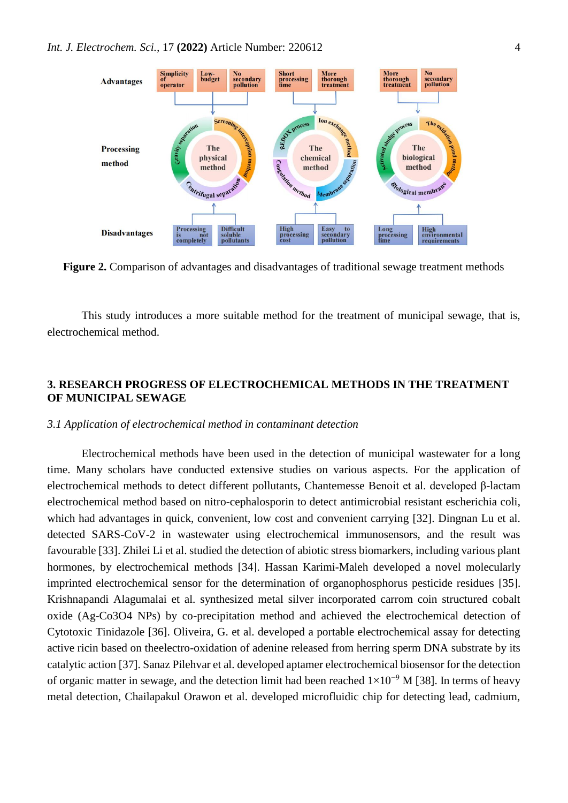

**Figure 2.** Comparison of advantages and disadvantages of traditional sewage treatment methods

This study introduces a more suitable method for the treatment of municipal sewage, that is, electrochemical method.

# **3. RESEARCH PROGRESS OF ELECTROCHEMICAL METHODS IN THE TREATMENT OF MUNICIPAL SEWAGE**

### *3.1 Application of electrochemical method in contaminant detection*

Electrochemical methods have been used in the detection of municipal wastewater for a long time. Many scholars have conducted extensive studies on various aspects. For the application of electrochemical methods to detect different pollutants, Chantemesse Benoit et al. developed β-lactam electrochemical method based on nitro-cephalosporin to detect antimicrobial resistant escherichia coli, which had advantages in quick, convenient, low cost and convenient carrying [32]. Dingnan Lu et al. detected SARS-CoV-2 in wastewater using electrochemical immunosensors, and the result was favourable [33]. Zhilei Li et al. studied the detection of abiotic stress biomarkers, including various plant hormones, by electrochemical methods [34]. Hassan Karimi-Maleh developed a novel molecularly imprinted electrochemical sensor for the determination of organophosphorus pesticide residues [35]. Krishnapandi Alagumalai et al. synthesized metal silver incorporated carrom coin structured cobalt oxide (Ag-Co3O4 NPs) by co-precipitation method and achieved the electrochemical detection of Cytotoxic Tinidazole [36]. Oliveira, G. et al. developed a portable electrochemical assay for detecting active ricin based on theelectro-oxidation of adenine released from herring sperm DNA substrate by its catalytic action [37]. Sanaz Pilehvar et al. developed aptamer electrochemical biosensor for the detection of organic matter in sewage, and the detection limit had been reached  $1\times10^{-9}$  M [38]. In terms of heavy metal detection, Chailapakul Orawon et al. developed microfluidic chip for detecting lead, cadmium,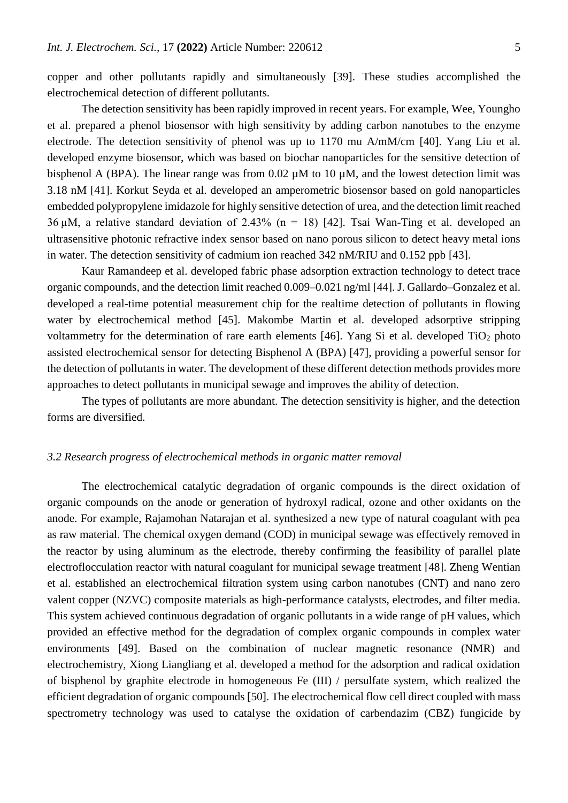copper and other pollutants rapidly and simultaneously [39]. These studies accomplished the electrochemical detection of different pollutants.

The detection sensitivity has been rapidly improved in recent years. For example, Wee, Youngho et al. prepared a phenol biosensor with high sensitivity by adding carbon nanotubes to the enzyme electrode. The detection sensitivity of phenol was up to 1170 mu A/mM/cm [40]. Yang Liu et al. developed enzyme biosensor, which was based on biochar nanoparticles for the sensitive detection of bisphenol A (BPA). The linear range was from 0.02  $\mu$ M to 10  $\mu$ M, and the lowest detection limit was 3.18 nM [41]. Korkut Seyda et al. developed an amperometric biosensor based on gold nanoparticles embedded polypropylene imidazole for highly sensitive detection of urea, and the detection limit reached  $36 \mu$ M, a relative standard deviation of 2.43% (n = 18) [42]. Tsai Wan-Ting et al. developed an ultrasensitive photonic refractive index sensor based on nano porous silicon to detect heavy metal ions in water. The detection sensitivity of cadmium ion reached 342 nM/RIU and 0.152 ppb [43].

Kaur Ramandeep et al. developed fabric phase adsorption extraction technology to detect trace organic compounds, and the detection limit reached 0.009–0.021 ng/ml [44]. J. Gallardo–Gonzalez et al. developed a real-time potential measurement chip for the realtime detection of pollutants in flowing water by electrochemical method [45]. Makombe Martin et al. developed adsorptive stripping voltammetry for the determination of rare earth elements [46]. Yang Si et al. developed  $TiO<sub>2</sub>$  photo assisted electrochemical sensor for detecting Bisphenol A (BPA) [47], providing a powerful sensor for the detection of pollutants in water. The development of these different detection methods provides more approaches to detect pollutants in municipal sewage and improves the ability of detection.

The types of pollutants are more abundant. The detection sensitivity is higher, and the detection forms are diversified.

### *3.2 Research progress of electrochemical methods in organic matter removal*

The electrochemical catalytic degradation of organic compounds is the direct oxidation of organic compounds on the anode or generation of hydroxyl radical, ozone and other oxidants on the anode. For example, Rajamohan Natarajan et al. synthesized a new type of natural coagulant with pea as raw material. The chemical oxygen demand (COD) in municipal sewage was effectively removed in the reactor by using aluminum as the electrode, thereby confirming the feasibility of parallel plate electroflocculation reactor with natural coagulant for municipal sewage treatment [48]. Zheng Wentian et al. established an electrochemical filtration system using carbon nanotubes (CNT) and nano zero valent copper (NZVC) composite materials as high-performance catalysts, electrodes, and filter media. This system achieved continuous degradation of organic pollutants in a wide range of pH values, which provided an effective method for the degradation of complex organic compounds in complex water environments [49]. Based on the combination of nuclear magnetic resonance (NMR) and electrochemistry, Xiong Liangliang et al. developed a method for the adsorption and radical oxidation of bisphenol by graphite electrode in homogeneous Fe (III) / persulfate system, which realized the efficient degradation of organic compounds [50]. The electrochemical flow cell direct coupled with mass spectrometry technology was used to catalyse the oxidation of carbendazim (CBZ) fungicide by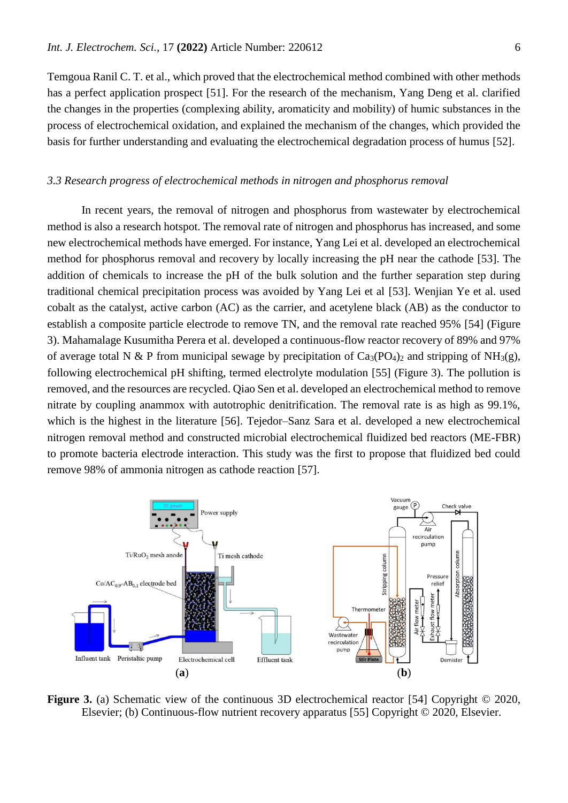Temgoua Ranil C. T. et al., which proved that the electrochemical method combined with other methods has a perfect application prospect [51]. For the research of the mechanism, Yang Deng et al. clarified the changes in the properties (complexing ability, aromaticity and mobility) of humic substances in the process of electrochemical oxidation, and explained the mechanism of the changes, which provided the basis for further understanding and evaluating the electrochemical degradation process of humus [52].

#### *3.3 Research progress of electrochemical methods in nitrogen and phosphorus removal*

In recent years, the removal of nitrogen and phosphorus from wastewater by electrochemical method is also a research hotspot. The removal rate of nitrogen and phosphorus has increased, and some new electrochemical methods have emerged. For instance, Yang Lei et al. developed an electrochemical method for phosphorus removal and recovery by locally increasing the pH near the cathode [53]. The addition of chemicals to increase the pH of the bulk solution and the further separation step during traditional chemical precipitation process was avoided by Yang Lei et al [53]. Wenjian Ye et al. used cobalt as the catalyst, active carbon (AC) as the carrier, and acetylene black (AB) as the conductor to establish a composite particle electrode to remove TN, and the removal rate reached 95% [54] (Figure 3). Mahamalage Kusumitha Perera et al. developed a continuous-flow reactor recovery of 89% and 97% of average total N & P from municipal sewage by precipitation of  $Ca_3(PO_4)_2$  and stripping of NH<sub>3</sub>(g), following electrochemical pH shifting, termed electrolyte modulation [55] (Figure 3). The pollution is removed, and the resources are recycled. Qiao Sen et al. developed an electrochemical method to remove nitrate by coupling anammox with autotrophic denitrification. The removal rate is as high as 99.1%, which is the highest in the literature [56]. Tejedor–Sanz Sara et al. developed a new electrochemical nitrogen removal method and constructed microbial electrochemical fluidized bed reactors (ME-FBR) to promote bacteria electrode interaction. This study was the first to propose that fluidized bed could remove 98% of ammonia nitrogen as cathode reaction [57].



**Figure 3.** (a) Schematic view of the continuous 3D electrochemical reactor [54] Copyright © 2020, Elsevier; (b) Continuous-flow nutrient recovery apparatus [55] Copyright © 2020, Elsevier.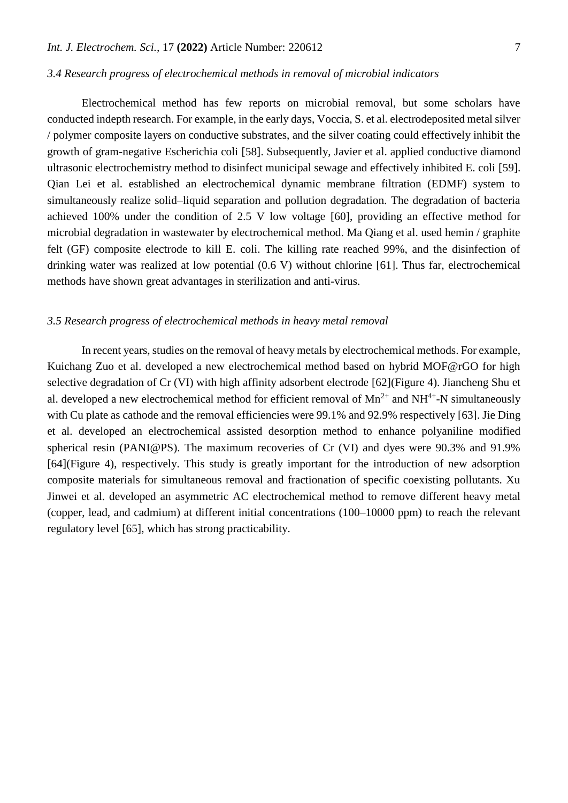#### *3.4 Research progress of electrochemical methods in removal of microbial indicators*

Electrochemical method has few reports on microbial removal, but some scholars have conducted indepth research. For example, in the early days, Voccia, S. et al. electrodeposited metal silver / polymer composite layers on conductive substrates, and the silver coating could effectively inhibit the growth of gram-negative Escherichia coli [58]. Subsequently, Javier et al. applied conductive diamond ultrasonic electrochemistry method to disinfect municipal sewage and effectively inhibited E. coli [59]. Qian Lei et al. established an electrochemical dynamic membrane filtration (EDMF) system to simultaneously realize solid–liquid separation and pollution degradation. The degradation of bacteria achieved 100% under the condition of 2.5 V low voltage [60], providing an effective method for microbial degradation in wastewater by electrochemical method. Ma Qiang et al. used hemin / graphite felt (GF) composite electrode to kill E. coli. The killing rate reached 99%, and the disinfection of drinking water was realized at low potential (0.6 V) without chlorine [61]. Thus far, electrochemical methods have shown great advantages in sterilization and anti-virus.

#### *3.5 Research progress of electrochemical methods in heavy metal removal*

In recent years, studies on the removal of heavy metals by electrochemical methods. For example, Kuichang Zuo et al. developed a new electrochemical method based on hybrid MOF@rGO for high selective degradation of Cr (VI) with high affinity adsorbent electrode [62](Figure 4). Jiancheng Shu et al. developed a new electrochemical method for efficient removal of  $Mn^{2+}$  and  $NH^{4+}$ -N simultaneously with Cu plate as cathode and the removal efficiencies were 99.1% and 92.9% respectively [63]. Jie Ding et al. developed an electrochemical assisted desorption method to enhance polyaniline modified spherical resin (PANI@PS). The maximum recoveries of Cr (VI) and dyes were 90.3% and 91.9% [64](Figure 4), respectively. This study is greatly important for the introduction of new adsorption composite materials for simultaneous removal and fractionation of specific coexisting pollutants. Xu Jinwei et al. developed an asymmetric AC electrochemical method to remove different heavy metal (copper, lead, and cadmium) at different initial concentrations (100–10000 ppm) to reach the relevant regulatory level [65], which has strong practicability.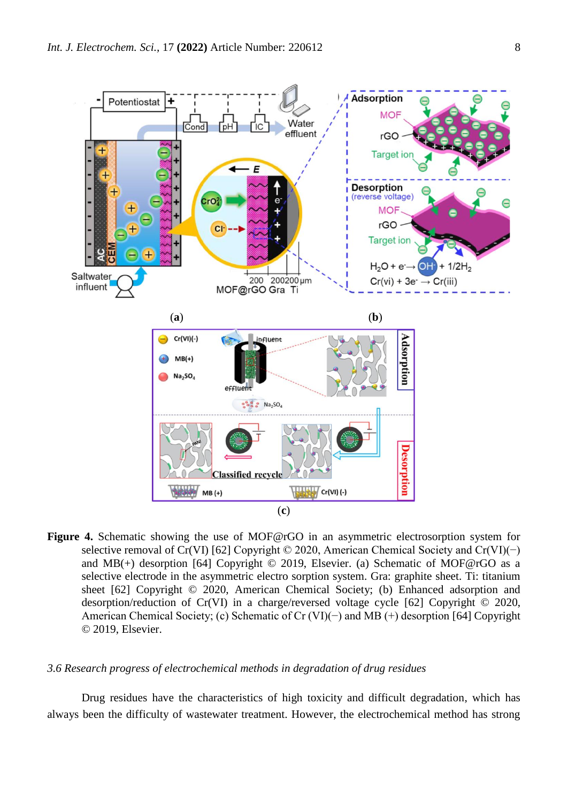

**Figure 4.** Schematic showing the use of MOF@rGO in an asymmetric electrosorption system for selective removal of Cr(VI) [62] Copyright © 2020, American Chemical Society and Cr(VI)(−) and MB(+) desorption [64] Copyright  $\odot$  2019, Elsevier. (a) Schematic of MOF@rGO as a selective electrode in the asymmetric electro sorption system. Gra: graphite sheet. Ti: titanium sheet [62] Copyright © 2020, American Chemical Society; (b) Enhanced adsorption and desorption/reduction of Cr(VI) in a charge/reversed voltage cycle [62] Copyright © 2020, American Chemical Society; (c) Schematic of Cr (VI)(−) and MB (+) desorption [64] Copyright © 2019, Elsevier.

#### *3.6 Research progress of electrochemical methods in degradation of drug residues*

Drug residues have the characteristics of high toxicity and difficult degradation, which has always been the difficulty of wastewater treatment. However, the electrochemical method has strong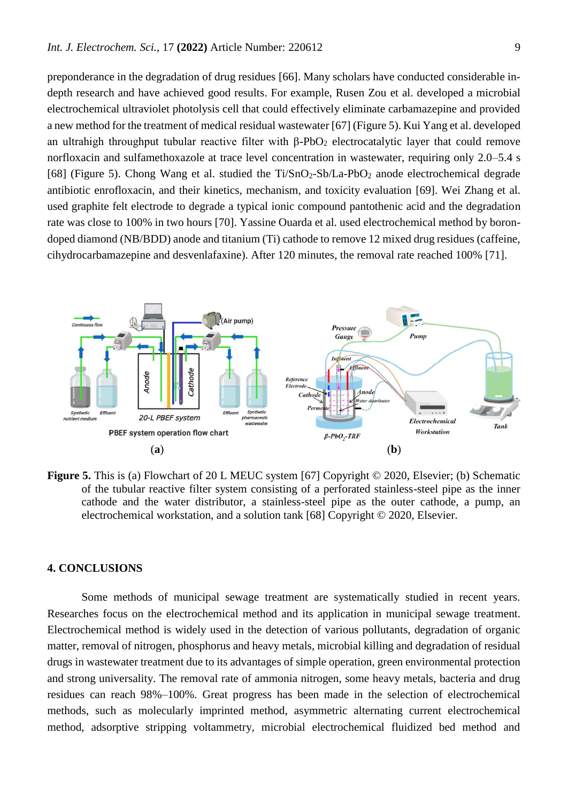preponderance in the degradation of drug residues [66]. Many scholars have conducted considerable indepth research and have achieved good results. For example, Rusen Zou et al. developed a microbial electrochemical ultraviolet photolysis cell that could effectively eliminate carbamazepine and provided a new method for the treatment of medical residual wastewater [67] (Figure 5). Kui Yang et al. developed an ultrahigh throughput tubular reactive filter with β-PbO<sub>2</sub> electrocatalytic layer that could remove norfloxacin and sulfamethoxazole at trace level concentration in wastewater, requiring only 2.0–5.4 s [68] (Figure 5). Chong Wang et al. studied the Ti/SnO2-Sb/La-PbO<sup>2</sup> anode electrochemical degrade antibiotic enrofloxacin, and their kinetics, mechanism, and toxicity evaluation [69]. Wei Zhang et al. used graphite felt electrode to degrade a typical ionic compound pantothenic acid and the degradation rate was close to 100% in two hours [70]. Yassine Ouarda et al. used electrochemical method by borondoped diamond (NB/BDD) anode and titanium (Ti) cathode to remove 12 mixed drug residues (caffeine, cihydrocarbamazepine and desvenlafaxine). After 120 minutes, the removal rate reached 100% [71].



**Figure 5.** This is (a) Flowchart of 20 L MEUC system [67] Copyright © 2020, Elsevier; (b) Schematic of the tubular reactive filter system consisting of a perforated stainless-steel pipe as the inner cathode and the water distributor, a stainless-steel pipe as the outer cathode, a pump, an electrochemical workstation, and a solution tank [68] Copyright © 2020, Elsevier.

## **4. CONCLUSIONS**

Some methods of municipal sewage treatment are systematically studied in recent years. Researches focus on the electrochemical method and its application in municipal sewage treatment. Electrochemical method is widely used in the detection of various pollutants, degradation of organic matter, removal of nitrogen, phosphorus and heavy metals, microbial killing and degradation of residual drugs in wastewater treatment due to its advantages of simple operation, green environmental protection and strong universality. The removal rate of ammonia nitrogen, some heavy metals, bacteria and drug residues can reach 98%–100%. Great progress has been made in the selection of electrochemical methods, such as molecularly imprinted method, asymmetric alternating current electrochemical method, adsorptive stripping voltammetry, microbial electrochemical fluidized bed method and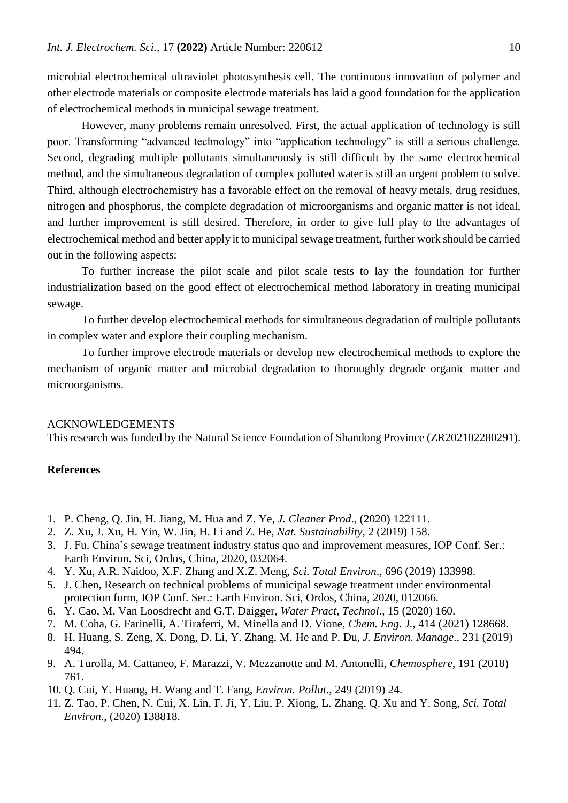microbial electrochemical ultraviolet photosynthesis cell. The continuous innovation of polymer and other electrode materials or composite electrode materials has laid a good foundation for the application of electrochemical methods in municipal sewage treatment.

However, many problems remain unresolved. First, the actual application of technology is still poor. Transforming "advanced technology" into "application technology" is still a serious challenge. Second, degrading multiple pollutants simultaneously is still difficult by the same electrochemical method, and the simultaneous degradation of complex polluted water is still an urgent problem to solve. Third, although electrochemistry has a favorable effect on the removal of heavy metals, drug residues, nitrogen and phosphorus, the complete degradation of microorganisms and organic matter is not ideal, and further improvement is still desired. Therefore, in order to give full play to the advantages of electrochemical method and better apply it to municipal sewage treatment, further work should be carried out in the following aspects:

To further increase the pilot scale and pilot scale tests to lay the foundation for further industrialization based on the good effect of electrochemical method laboratory in treating municipal sewage.

To further develop electrochemical methods for simultaneous degradation of multiple pollutants in complex water and explore their coupling mechanism.

To further improve electrode materials or develop new electrochemical methods to explore the mechanism of organic matter and microbial degradation to thoroughly degrade organic matter and microorganisms.

#### ACKNOWLEDGEMENTS

This research was funded by the Natural Science Foundation of Shandong Province (ZR202102280291).

### **References**

- 1. P. Cheng, Q. Jin, H. Jiang, M. Hua and Z. Ye, *J. Cleaner Prod*., (2020) 122111.
- 2. Z. Xu, J. Xu, H. Yin, W. Jin, H. Li and Z. He, *Nat. Sustainability*, 2 (2019) 158.
- 3. J. Fu. China's sewage treatment industry status quo and improvement measures, IOP Conf. Ser.: Earth Environ. Sci, Ordos, China, 2020, 032064.
- 4. Y. Xu, A.R. Naidoo, X.F. Zhang and X.Z. Meng, *Sci. Total Environ*., 696 (2019) 133998.
- 5. J. Chen, Research on technical problems of municipal sewage treatment under environmental protection form, IOP Conf. Ser.: Earth Environ. Sci, Ordos, China, 2020, 012066.
- 6. Y. Cao, M. Van Loosdrecht and G.T. Daigger, *Water Pract, Technol*., 15 (2020) 160.
- 7. M. Coha, G. Farinelli, A. Tiraferri, M. Minella and D. Vione, *Chem. Eng. J.,* 414 (2021) 128668.
- 8. H. Huang, S. Zeng, X. Dong, D. Li, Y. Zhang, M. He and P. Du, *J. Environ. Manage*., 231 (2019) 494.
- 9. A. Turolla, M. Cattaneo, F. Marazzi, V. Mezzanotte and M. Antonelli, *Chemosphere*, 191 (2018) 761.
- 10. Q. Cui, Y. Huang, H. Wang and T. Fang, *Environ. Pollut*., 249 (2019) 24.
- 11. Z. Tao, P. Chen, N. Cui, X. Lin, F. Ji, Y. Liu, P. Xiong, L. Zhang, Q. Xu and Y. Song, *Sci. Total Environ.*, (2020) 138818.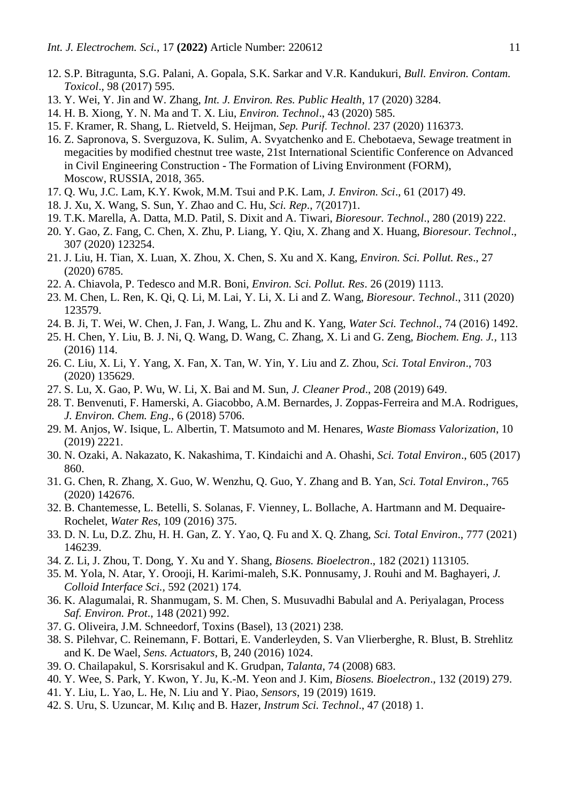- 12. S.P. Bitragunta, S.G. Palani, A. Gopala, S.K. Sarkar and V.R. Kandukuri, *Bull. Environ. Contam. Toxicol*., 98 (2017) 595.
- 13. Y. Wei, Y. Jin and W. Zhang, *Int. J. Environ. Res. Public Health*, 17 (2020) 3284.
- 14. H. B. Xiong, Y. N. Ma and T. X. Liu, *Environ. Technol*., 43 (2020) 585.
- 15. F. Kramer, R. Shang, L. Rietveld, S. Heijman, *Sep. Purif. Technol*. 237 (2020) 116373.
- 16. Z. Sapronova, S. Sverguzova, K. Sulim, A. Svyatchenko and E. Chebotaeva, Sewage treatment in megacities by modified chestnut tree waste, 21st International Scientific Conference on Advanced in Civil Engineering Construction - The Formation of Living Environment (FORM), Moscow, RUSSIA, 2018, 365.
- 17. Q. Wu, J.C. Lam, K.Y. Kwok, M.M. Tsui and P.K. Lam, *J. Environ. Sci*., 61 (2017) 49.
- 18. J. Xu, X. Wang, S. Sun, Y. Zhao and C. Hu, *Sci. Rep*., 7(2017)1.
- 19. T.K. Marella, A. Datta, M.D. Patil, S. Dixit and A. Tiwari, *Bioresour. Technol*., 280 (2019) 222.
- 20. Y. Gao, Z. Fang, C. Chen, X. Zhu, P. Liang, Y. Qiu, X. Zhang and X. Huang, *Bioresour. Technol*., 307 (2020) 123254.
- 21. J. Liu, H. Tian, X. Luan, X. Zhou, X. Chen, S. Xu and X. Kang, *Environ. Sci. Pollut. Res*., 27 (2020) 6785.
- 22. A. Chiavola, P. Tedesco and M.R. Boni, *Environ. Sci. Pollut. Res*. 26 (2019) 1113.
- 23. M. Chen, L. Ren, K. Qi, Q. Li, M. Lai, Y. Li, X. Li and Z. Wang, *Bioresour. Technol*., 311 (2020) 123579.
- 24. B. Ji, T. Wei, W. Chen, J. Fan, J. Wang, L. Zhu and K. Yang, *Water Sci. Technol*., 74 (2016) 1492.
- 25. H. Chen, Y. Liu, B. J. Ni, Q. Wang, D. Wang, C. Zhang, X. Li and G. Zeng, *Biochem. Eng. J.,* 113 (2016) 114.
- 26. C. Liu, X. Li, Y. Yang, X. Fan, X. Tan, W. Yin, Y. Liu and Z. Zhou, *Sci. Total Environ*., 703 (2020) 135629.
- 27. S. Lu, X. Gao, P. Wu, W. Li, X. Bai and M. Sun, *J. Cleaner Prod*., 208 (2019) 649.
- 28. T. Benvenuti, F. Hamerski, A. Giacobbo, A.M. Bernardes, J. Zoppas-Ferreira and M.A. Rodrigues, *J. Environ. Chem. Eng*., 6 (2018) 5706.
- 29. M. Anjos, W. Isique, L. Albertin, T. Matsumoto and M. Henares, *Waste Biomass Valorization*, 10 (2019) 2221.
- 30. N. Ozaki, A. Nakazato, K. Nakashima, T. Kindaichi and A. Ohashi, *Sci. Total Environ*., 605 (2017) 860.
- 31. G. Chen, R. Zhang, X. Guo, W. Wenzhu, Q. Guo, Y. Zhang and B. Yan, *Sci. Total Environ*., 765 (2020) 142676.
- 32. B. Chantemesse, L. Betelli, S. Solanas, F. Vienney, L. Bollache, A. Hartmann and M. Dequaire-Rochelet, *Water Res*, 109 (2016) 375.
- 33. D. N. Lu, D.Z. Zhu, H. H. Gan, Z. Y. Yao, Q. Fu and X. Q. Zhang, *Sci. Total Environ*., 777 (2021) 146239.
- 34. Z. Li, J. Zhou, T. Dong, Y. Xu and Y. Shang, *Biosens. Bioelectron*., 182 (2021) 113105.
- 35. M. Yola, N. Atar, Y. Orooji, H. Karimi-maleh, S.K. Ponnusamy, J. Rouhi and M. Baghayeri, *J. Colloid Interface Sci.,* 592 (2021) 174.
- 36. K. Alagumalai, R. Shanmugam, S. M. Chen, S. Musuvadhi Babulal and A. Periyalagan, Process *Saf. Environ. Prot*., 148 (2021) 992.
- 37. G. Oliveira, J.M. Schneedorf, Toxins (Basel), 13 (2021) 238.
- 38. S. Pilehvar, C. Reinemann, F. Bottari, E. Vanderleyden, S. Van Vlierberghe, R. Blust, B. Strehlitz and K. De Wael, *Sens. Actuators*, B, 240 (2016) 1024.
- 39. O. Chailapakul, S. Korsrisakul and K. Grudpan, *Talanta*, 74 (2008) 683.
- 40. Y. Wee, S. Park, Y. Kwon, Y. Ju, K.-M. Yeon and J. Kim, *Biosens. Bioelectron*., 132 (2019) 279.
- 41. Y. Liu, L. Yao, L. He, N. Liu and Y. Piao, *Sensors*, 19 (2019) 1619.
- 42. S. Uru, S. Uzuncar, M. Kılıç and B. Hazer, *Instrum Sci. Technol*., 47 (2018) 1.